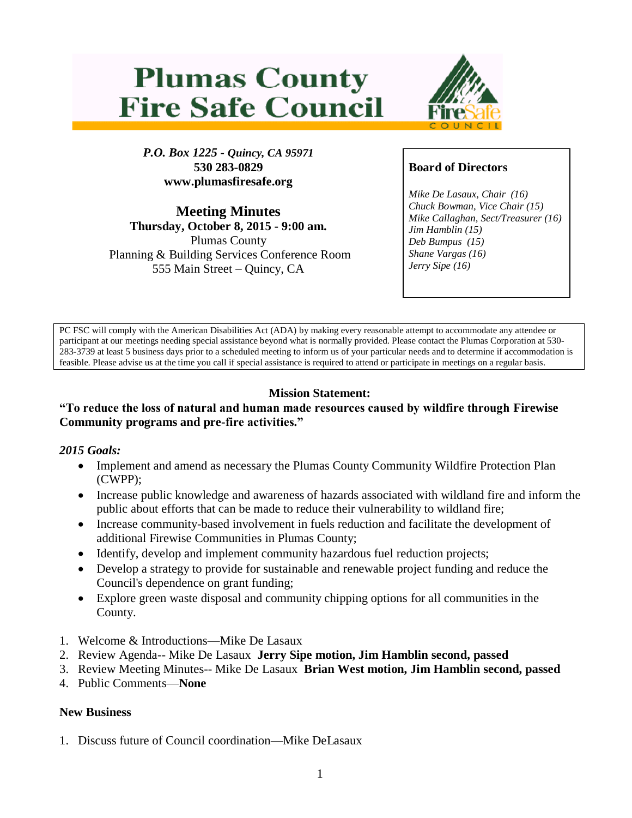# **Plumas County Fire Safe Council**



*P.O. Box 1225 - Quincy, CA 95971* **530 283-0829 www.plumasfiresafe.org**

**Meeting Minutes Thursday, October 8, 2015 - 9:00 am.** Plumas County Planning & Building Services Conference Room 555 Main Street – Quincy, CA

# **Board of Directors**

*Mike De Lasaux, Chair (16) Chuck Bowman, Vice Chair (15) Mike Callaghan, Sect/Treasurer (16) Jim Hamblin (15) Deb Bumpus (15) Shane Vargas (16) Jerry Sipe (16)* 

PC FSC will comply with the American Disabilities Act (ADA) by making every reasonable attempt to accommodate any attendee or participant at our meetings needing special assistance beyond what is normally provided. Please contact the Plumas Corporation at 530- 283-3739 at least 5 business days prior to a scheduled meeting to inform us of your particular needs and to determine if accommodation is feasible. Please advise us at the time you call if special assistance is required to attend or participate in meetings on a regular basis.

# **Mission Statement:**

#### **"To reduce the loss of natural and human made resources caused by wildfire through Firewise Community programs and pre-fire activities."**

#### *2015 Goals:*

- Implement and amend as necessary the Plumas County Community Wildfire Protection Plan (CWPP);
- Increase public knowledge and awareness of hazards associated with wildland fire and inform the public about efforts that can be made to reduce their vulnerability to wildland fire;
- Increase community-based involvement in fuels reduction and facilitate the development of additional Firewise Communities in Plumas County;
- Identify, develop and implement community hazardous fuel reduction projects;
- Develop a strategy to provide for sustainable and renewable project funding and reduce the Council's dependence on grant funding;
- Explore green waste disposal and community chipping options for all communities in the County.
- 1. Welcome & Introductions—Mike De Lasaux
- 2. Review Agenda-- Mike De Lasaux **Jerry Sipe motion, Jim Hamblin second, passed**
- 3. Review Meeting Minutes-- Mike De Lasaux **Brian West motion, Jim Hamblin second, passed**
- 4. Public Comments—**None**

#### **New Business**

1. Discuss future of Council coordination—Mike DeLasaux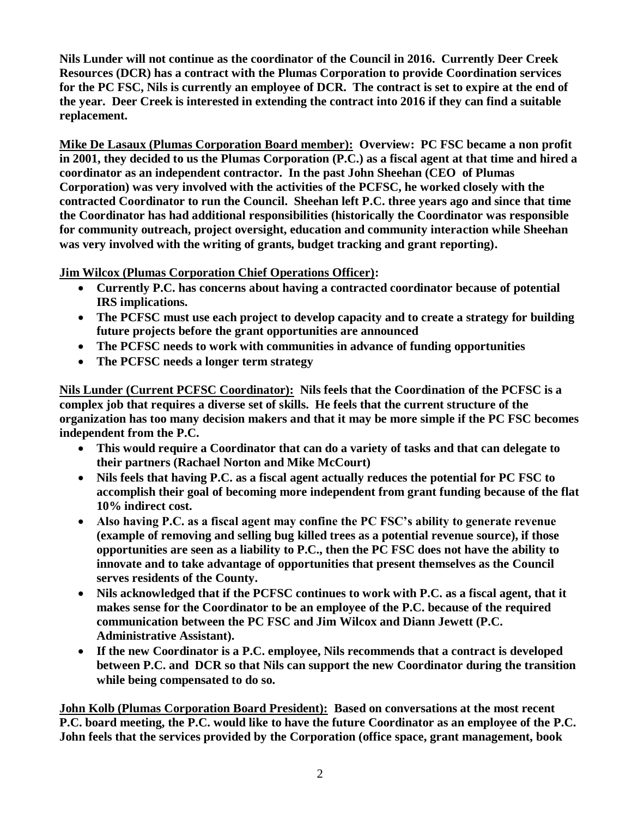**Nils Lunder will not continue as the coordinator of the Council in 2016. Currently Deer Creek Resources (DCR) has a contract with the Plumas Corporation to provide Coordination services for the PC FSC, Nils is currently an employee of DCR. The contract is set to expire at the end of the year. Deer Creek is interested in extending the contract into 2016 if they can find a suitable replacement.**

**Mike De Lasaux (Plumas Corporation Board member): Overview: PC FSC became a non profit in 2001, they decided to us the Plumas Corporation (P.C.) as a fiscal agent at that time and hired a coordinator as an independent contractor. In the past John Sheehan (CEO of Plumas Corporation) was very involved with the activities of the PCFSC, he worked closely with the contracted Coordinator to run the Council. Sheehan left P.C. three years ago and since that time the Coordinator has had additional responsibilities (historically the Coordinator was responsible for community outreach, project oversight, education and community interaction while Sheehan was very involved with the writing of grants, budget tracking and grant reporting).**

**Jim Wilcox (Plumas Corporation Chief Operations Officer):**

- **Currently P.C. has concerns about having a contracted coordinator because of potential IRS implications.**
- **The PCFSC must use each project to develop capacity and to create a strategy for building future projects before the grant opportunities are announced**
- **The PCFSC needs to work with communities in advance of funding opportunities**
- **The PCFSC needs a longer term strategy**

**Nils Lunder (Current PCFSC Coordinator): Nils feels that the Coordination of the PCFSC is a complex job that requires a diverse set of skills. He feels that the current structure of the organization has too many decision makers and that it may be more simple if the PC FSC becomes independent from the P.C.**

- **This would require a Coordinator that can do a variety of tasks and that can delegate to their partners (Rachael Norton and Mike McCourt)**
- **Nils feels that having P.C. as a fiscal agent actually reduces the potential for PC FSC to accomplish their goal of becoming more independent from grant funding because of the flat 10% indirect cost.**
- **Also having P.C. as a fiscal agent may confine the PC FSC's ability to generate revenue (example of removing and selling bug killed trees as a potential revenue source), if those opportunities are seen as a liability to P.C., then the PC FSC does not have the ability to innovate and to take advantage of opportunities that present themselves as the Council serves residents of the County.**
- **Nils acknowledged that if the PCFSC continues to work with P.C. as a fiscal agent, that it makes sense for the Coordinator to be an employee of the P.C. because of the required communication between the PC FSC and Jim Wilcox and Diann Jewett (P.C. Administrative Assistant).**
- **If the new Coordinator is a P.C. employee, Nils recommends that a contract is developed between P.C. and DCR so that Nils can support the new Coordinator during the transition while being compensated to do so.**

**John Kolb (Plumas Corporation Board President): Based on conversations at the most recent P.C. board meeting, the P.C. would like to have the future Coordinator as an employee of the P.C. John feels that the services provided by the Corporation (office space, grant management, book**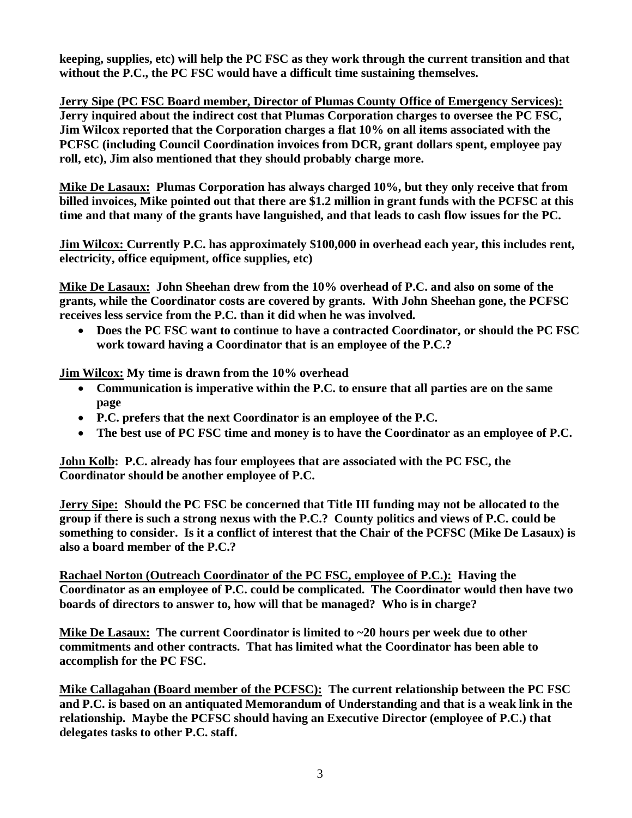**keeping, supplies, etc) will help the PC FSC as they work through the current transition and that without the P.C., the PC FSC would have a difficult time sustaining themselves.**

**Jerry Sipe (PC FSC Board member, Director of Plumas County Office of Emergency Services): Jerry inquired about the indirect cost that Plumas Corporation charges to oversee the PC FSC, Jim Wilcox reported that the Corporation charges a flat 10% on all items associated with the PCFSC (including Council Coordination invoices from DCR, grant dollars spent, employee pay roll, etc), Jim also mentioned that they should probably charge more.**

**Mike De Lasaux: Plumas Corporation has always charged 10%, but they only receive that from billed invoices, Mike pointed out that there are \$1.2 million in grant funds with the PCFSC at this time and that many of the grants have languished, and that leads to cash flow issues for the PC.**

**Jim Wilcox: Currently P.C. has approximately \$100,000 in overhead each year, this includes rent, electricity, office equipment, office supplies, etc)**

**Mike De Lasaux: John Sheehan drew from the 10% overhead of P.C. and also on some of the grants, while the Coordinator costs are covered by grants. With John Sheehan gone, the PCFSC receives less service from the P.C. than it did when he was involved.**

 **Does the PC FSC want to continue to have a contracted Coordinator, or should the PC FSC work toward having a Coordinator that is an employee of the P.C.?**

**Jim Wilcox: My time is drawn from the 10% overhead**

- **Communication is imperative within the P.C. to ensure that all parties are on the same page**
- **P.C. prefers that the next Coordinator is an employee of the P.C.**
- **The best use of PC FSC time and money is to have the Coordinator as an employee of P.C.**

**John Kolb: P.C. already has four employees that are associated with the PC FSC, the Coordinator should be another employee of P.C.**

**Jerry Sipe: Should the PC FSC be concerned that Title III funding may not be allocated to the group if there is such a strong nexus with the P.C.? County politics and views of P.C. could be something to consider. Is it a conflict of interest that the Chair of the PCFSC (Mike De Lasaux) is also a board member of the P.C.?**

**Rachael Norton (Outreach Coordinator of the PC FSC, employee of P.C.): Having the Coordinator as an employee of P.C. could be complicated. The Coordinator would then have two boards of directors to answer to, how will that be managed? Who is in charge?**

**Mike De Lasaux: The current Coordinator is limited to ~20 hours per week due to other commitments and other contracts. That has limited what the Coordinator has been able to accomplish for the PC FSC.**

**Mike Callagahan (Board member of the PCFSC): The current relationship between the PC FSC and P.C. is based on an antiquated Memorandum of Understanding and that is a weak link in the relationship. Maybe the PCFSC should having an Executive Director (employee of P.C.) that delegates tasks to other P.C. staff.**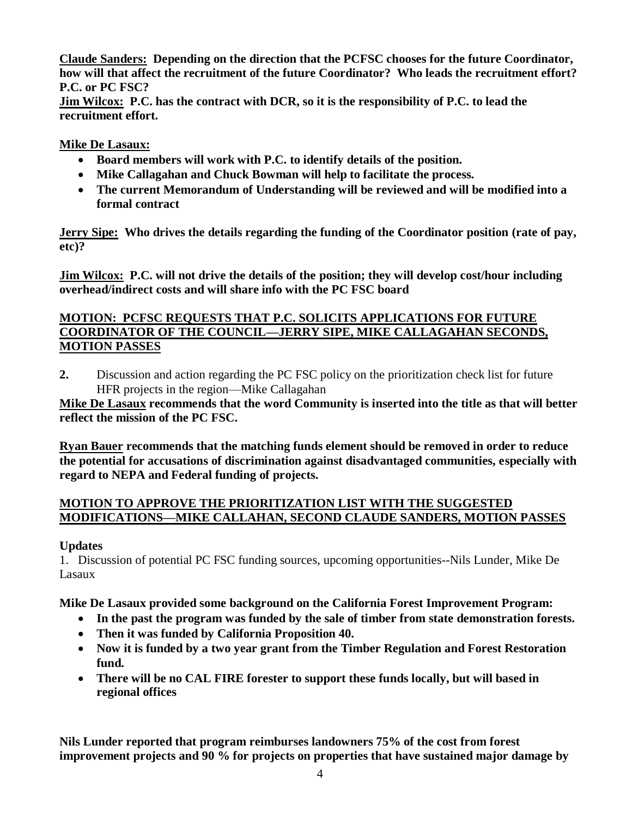**Claude Sanders: Depending on the direction that the PCFSC chooses for the future Coordinator, how will that affect the recruitment of the future Coordinator? Who leads the recruitment effort? P.C. or PC FSC?**

**Jim Wilcox: P.C. has the contract with DCR, so it is the responsibility of P.C. to lead the recruitment effort.**

## **Mike De Lasaux:**

- **Board members will work with P.C. to identify details of the position.**
- **Mike Callagahan and Chuck Bowman will help to facilitate the process.**
- **The current Memorandum of Understanding will be reviewed and will be modified into a formal contract**

**Jerry Sipe: Who drives the details regarding the funding of the Coordinator position (rate of pay, etc)?**

**Jim Wilcox: P.C. will not drive the details of the position; they will develop cost/hour including overhead/indirect costs and will share info with the PC FSC board**

#### **MOTION: PCFSC REQUESTS THAT P.C. SOLICITS APPLICATIONS FOR FUTURE COORDINATOR OF THE COUNCIL—JERRY SIPE, MIKE CALLAGAHAN SECONDS, MOTION PASSES**

**2.** Discussion and action regarding the PC FSC policy on the prioritization check list for future HFR projects in the region—Mike Callagahan

**Mike De Lasaux recommends that the word Community is inserted into the title as that will better reflect the mission of the PC FSC.** 

**Ryan Bauer recommends that the matching funds element should be removed in order to reduce the potential for accusations of discrimination against disadvantaged communities, especially with regard to NEPA and Federal funding of projects.**

## **MOTION TO APPROVE THE PRIORITIZATION LIST WITH THE SUGGESTED MODIFICATIONS—MIKE CALLAHAN, SECOND CLAUDE SANDERS, MOTION PASSES**

# **Updates**

1. Discussion of potential PC FSC funding sources, upcoming opportunities--Nils Lunder, Mike De Lasaux

**Mike De Lasaux provided some background on the California Forest Improvement Program:** 

- **In the past the program was funded by the sale of timber from state demonstration forests.**
- **Then it was funded by California Proposition 40.**
- **Now it is funded by a two year grant from the Timber Regulation and Forest Restoration fund.**
- **There will be no CAL FIRE forester to support these funds locally, but will based in regional offices**

**Nils Lunder reported that program reimburses landowners 75% of the cost from forest improvement projects and 90 % for projects on properties that have sustained major damage by**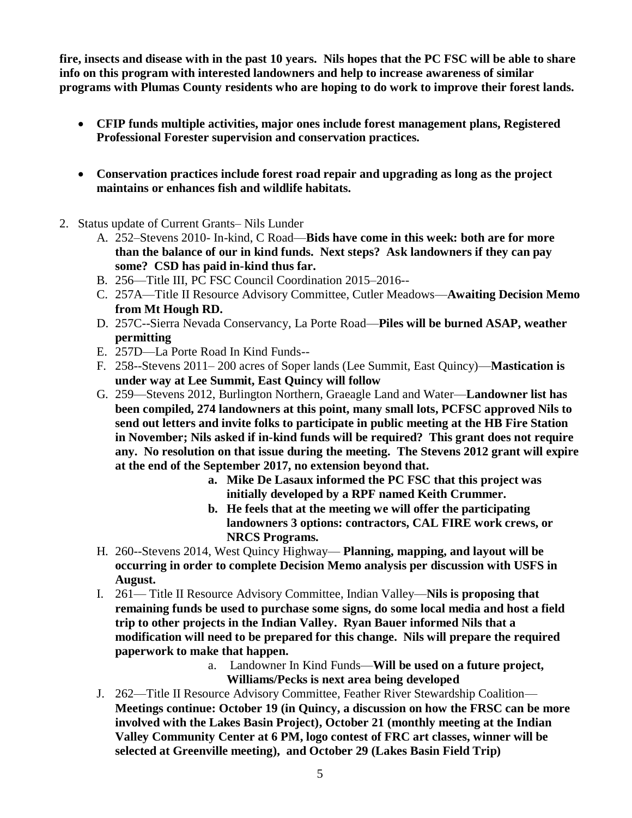**fire, insects and disease with in the past 10 years. Nils hopes that the PC FSC will be able to share info on this program with interested landowners and help to increase awareness of similar programs with Plumas County residents who are hoping to do work to improve their forest lands.**

- **CFIP funds multiple activities, major ones include forest management plans, Registered Professional Forester supervision and conservation practices.**
- **Conservation practices include forest road repair and upgrading as long as the project maintains or enhances fish and wildlife habitats.**
- 2. Status update of Current Grants– Nils Lunder
	- A. 252–Stevens 2010- In-kind, C Road—**Bids have come in this week: both are for more than the balance of our in kind funds. Next steps? Ask landowners if they can pay some? CSD has paid in-kind thus far.**
	- B. 256—Title III, PC FSC Council Coordination 2015–2016--
	- C. 257A—Title II Resource Advisory Committee, Cutler Meadows—**Awaiting Decision Memo from Mt Hough RD.**
	- D. 257C--Sierra Nevada Conservancy, La Porte Road—**Piles will be burned ASAP, weather permitting**
	- E. 257D—La Porte Road In Kind Funds--
	- F. 258--Stevens 2011– 200 acres of Soper lands (Lee Summit, East Quincy)—**Mastication is under way at Lee Summit, East Quincy will follow**
	- G. 259—Stevens 2012, Burlington Northern, Graeagle Land and Water—**Landowner list has been compiled, 274 landowners at this point, many small lots, PCFSC approved Nils to send out letters and invite folks to participate in public meeting at the HB Fire Station in November; Nils asked if in-kind funds will be required? This grant does not require any. No resolution on that issue during the meeting. The Stevens 2012 grant will expire at the end of the September 2017, no extension beyond that.**
		- **a. Mike De Lasaux informed the PC FSC that this project was initially developed by a RPF named Keith Crummer.**
		- **b. He feels that at the meeting we will offer the participating landowners 3 options: contractors, CAL FIRE work crews, or NRCS Programs.**
	- H. 260--Stevens 2014, West Quincy Highway— **Planning, mapping, and layout will be occurring in order to complete Decision Memo analysis per discussion with USFS in August.**
	- I. 261— Title II Resource Advisory Committee, Indian Valley—**Nils is proposing that remaining funds be used to purchase some signs, do some local media and host a field trip to other projects in the Indian Valley. Ryan Bauer informed Nils that a modification will need to be prepared for this change. Nils will prepare the required paperwork to make that happen.**
		- a. Landowner In Kind Funds—**Will be used on a future project, Williams/Pecks is next area being developed**
	- J. 262—Title II Resource Advisory Committee, Feather River Stewardship Coalition— **Meetings continue: October 19 (in Quincy, a discussion on how the FRSC can be more involved with the Lakes Basin Project), October 21 (monthly meeting at the Indian Valley Community Center at 6 PM, logo contest of FRC art classes, winner will be selected at Greenville meeting), and October 29 (Lakes Basin Field Trip)**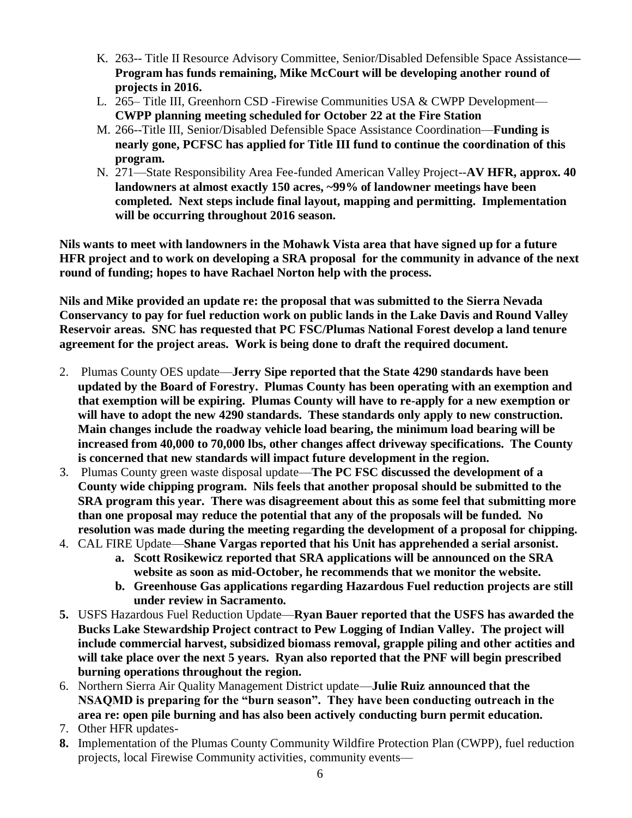- K. 263-- Title II Resource Advisory Committee, Senior/Disabled Defensible Space Assistance**— Program has funds remaining, Mike McCourt will be developing another round of projects in 2016.**
- L. 265– Title III, Greenhorn CSD -Firewise Communities USA & CWPP Development— **CWPP planning meeting scheduled for October 22 at the Fire Station**
- M. 266--Title III, Senior/Disabled Defensible Space Assistance Coordination—**Funding is nearly gone, PCFSC has applied for Title III fund to continue the coordination of this program.**
- N. 271—State Responsibility Area Fee-funded American Valley Project--**AV HFR, approx. 40 landowners at almost exactly 150 acres, ~99% of landowner meetings have been completed. Next steps include final layout, mapping and permitting. Implementation will be occurring throughout 2016 season.**

**Nils wants to meet with landowners in the Mohawk Vista area that have signed up for a future HFR project and to work on developing a SRA proposal for the community in advance of the next round of funding; hopes to have Rachael Norton help with the process.**

**Nils and Mike provided an update re: the proposal that was submitted to the Sierra Nevada Conservancy to pay for fuel reduction work on public lands in the Lake Davis and Round Valley Reservoir areas. SNC has requested that PC FSC/Plumas National Forest develop a land tenure agreement for the project areas. Work is being done to draft the required document.**

- 2. Plumas County OES update—**Jerry Sipe reported that the State 4290 standards have been updated by the Board of Forestry. Plumas County has been operating with an exemption and that exemption will be expiring. Plumas County will have to re-apply for a new exemption or will have to adopt the new 4290 standards. These standards only apply to new construction. Main changes include the roadway vehicle load bearing, the minimum load bearing will be increased from 40,000 to 70,000 lbs, other changes affect driveway specifications. The County is concerned that new standards will impact future development in the region.**
- 3. Plumas County green waste disposal update—**The PC FSC discussed the development of a County wide chipping program. Nils feels that another proposal should be submitted to the SRA program this year. There was disagreement about this as some feel that submitting more than one proposal may reduce the potential that any of the proposals will be funded. No resolution was made during the meeting regarding the development of a proposal for chipping.**
- 4. CAL FIRE Update—**Shane Vargas reported that his Unit has apprehended a serial arsonist.**
	- **a. Scott Rosikewicz reported that SRA applications will be announced on the SRA website as soon as mid-October, he recommends that we monitor the website.**
	- **b. Greenhouse Gas applications regarding Hazardous Fuel reduction projects are still under review in Sacramento.**
- **5.** USFS Hazardous Fuel Reduction Update—**Ryan Bauer reported that the USFS has awarded the Bucks Lake Stewardship Project contract to Pew Logging of Indian Valley. The project will include commercial harvest, subsidized biomass removal, grapple piling and other actities and will take place over the next 5 years. Ryan also reported that the PNF will begin prescribed burning operations throughout the region.**
- 6. Northern Sierra Air Quality Management District update—**Julie Ruiz announced that the NSAQMD is preparing for the "burn season". They have been conducting outreach in the area re: open pile burning and has also been actively conducting burn permit education.**
- 7. Other HFR updates-
- **8.** Implementation of the Plumas County Community Wildfire Protection Plan (CWPP), fuel reduction projects, local Firewise Community activities, community events—